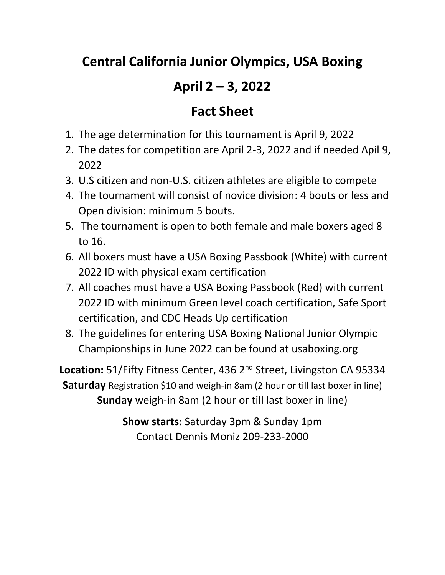## **Central California Junior Olympics, USA Boxing**

## **April 2 – 3, 2022**

## **Fact Sheet**

- 1. The age determination for this tournament is April 9, 2022
- 2. The dates for competition are April 2-3, 2022 and if needed Apil 9, 2022
- 3. U.S citizen and non-U.S. citizen athletes are eligible to compete
- 4. The tournament will consist of novice division: 4 bouts or less and Open division: minimum 5 bouts.
- 5. The tournament is open to both female and male boxers aged 8 to 16.
- 6. All boxers must have a USA Boxing Passbook (White) with current 2022 ID with physical exam certification
- 7. All coaches must have a USA Boxing Passbook (Red) with current 2022 ID with minimum Green level coach certification, Safe Sport certification, and CDC Heads Up certification
- 8. The guidelines for entering USA Boxing National Junior Olympic Championships in June 2022 can be found at usaboxing.org

Location: 51/Fifty Fitness Center, 436 2<sup>nd</sup> Street, Livingston CA 95334 **Saturday** Registration \$10 and weigh-in 8am (2 hour or till last boxer in line) **Sunday** weigh-in 8am (2 hour or till last boxer in line)

> **Show starts:** Saturday 3pm & Sunday 1pm Contact Dennis Moniz 209-233-2000